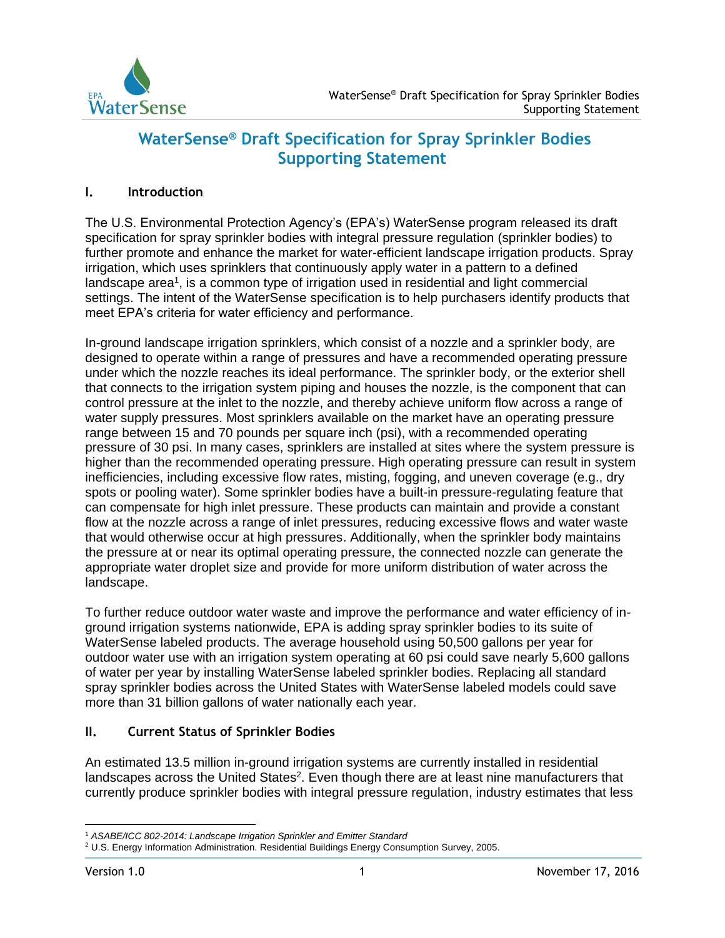

# **WaterSense® Draft Specification for Spray Sprinkler Bodies Supporting Statement**

### **I. Introduction**

The U.S. Environmental Protection Agency's (EPA's) WaterSense program released its draft specification for spray sprinkler bodies with integral pressure regulation (sprinkler bodies) to further promote and enhance the market for water-efficient landscape irrigation products. Spray irrigation, which uses sprinklers that continuously apply water in a pattern to a defined landscape area<sup>1</sup>, is a common type of irrigation used in residential and light commercial settings. The intent of the WaterSense specification is to help purchasers identify products that meet EPA's criteria for water efficiency and performance.

In-ground landscape irrigation sprinklers, which consist of a nozzle and a sprinkler body, are designed to operate within a range of pressures and have a recommended operating pressure under which the nozzle reaches its ideal performance. The sprinkler body, or the exterior shell that connects to the irrigation system piping and houses the nozzle, is the component that can control pressure at the inlet to the nozzle, and thereby achieve uniform flow across a range of water supply pressures. Most sprinklers available on the market have an operating pressure range between 15 and 70 pounds per square inch (psi), with a recommended operating pressure of 30 psi. In many cases, sprinklers are installed at sites where the system pressure is higher than the recommended operating pressure. High operating pressure can result in system inefficiencies, including excessive flow rates, misting, fogging, and uneven coverage (e.g., dry spots or pooling water). Some sprinkler bodies have a built-in pressure-regulating feature that can compensate for high inlet pressure. These products can maintain and provide a constant flow at the nozzle across a range of inlet pressures, reducing excessive flows and water waste that would otherwise occur at high pressures. Additionally, when the sprinkler body maintains the pressure at or near its optimal operating pressure, the connected nozzle can generate the appropriate water droplet size and provide for more uniform distribution of water across the landscape.

To further reduce outdoor water waste and improve the performance and water efficiency of inground irrigation systems nationwide, EPA is adding spray sprinkler bodies to its suite of WaterSense labeled products. The average household using 50,500 gallons per year for outdoor water use with an irrigation system operating at 60 psi could save nearly 5,600 gallons of water per year by installing WaterSense labeled sprinkler bodies. Replacing all standard spray sprinkler bodies across the United States with WaterSense labeled models could save more than 31 billion gallons of water nationally each year.

### **II. Current Status of Sprinkler Bodies**

An estimated 13.5 million in-ground irrigation systems are currently installed in residential landscapes across the United States<sup>2</sup>. Even though there are at least nine manufacturers that currently produce sprinkler bodies with integral pressure regulation, industry estimates that less

 $\overline{a}$ <sup>1</sup> *ASABE/ICC 802-2014: Landscape Irrigation Sprinkler and Emitter Standard*

<sup>2</sup> U.S. Energy Information Administration. Residential Buildings Energy Consumption Survey, 2005.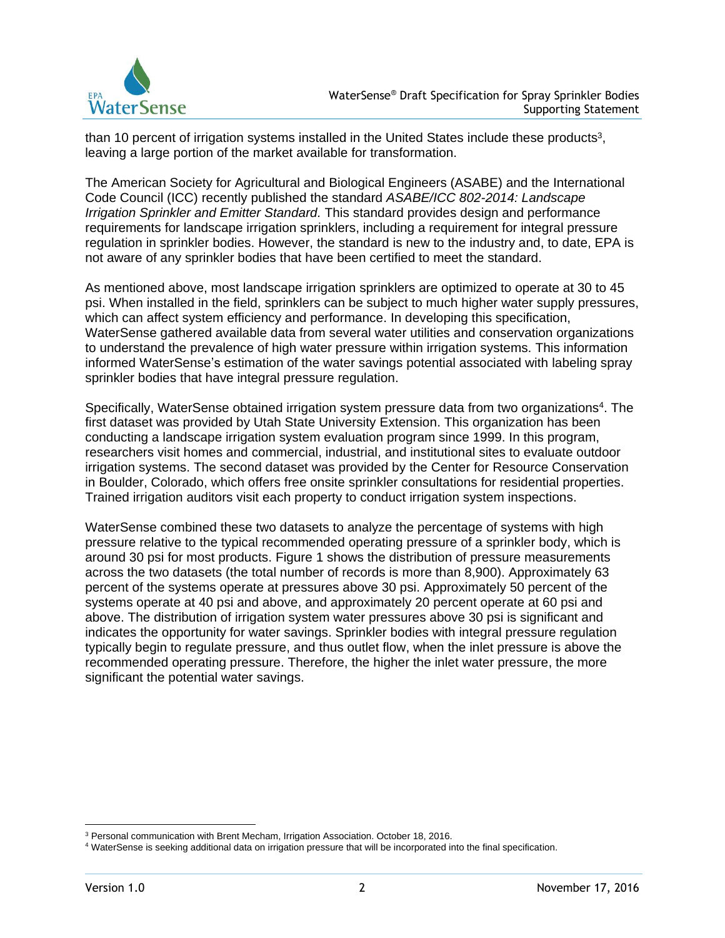

than 10 percent of irrigation systems installed in the United States include these products<sup>3</sup>, leaving a large portion of the market available for transformation.

The American Society for Agricultural and Biological Engineers (ASABE) and the International Code Council (ICC) recently published the standard *ASABE/ICC 802-2014: Landscape Irrigation Sprinkler and Emitter Standard.* This standard provides design and performance requirements for landscape irrigation sprinklers, including a requirement for integral pressure regulation in sprinkler bodies. However, the standard is new to the industry and, to date, EPA is not aware of any sprinkler bodies that have been certified to meet the standard.

As mentioned above, most landscape irrigation sprinklers are optimized to operate at 30 to 45 psi. When installed in the field, sprinklers can be subject to much higher water supply pressures, which can affect system efficiency and performance. In developing this specification, WaterSense gathered available data from several water utilities and conservation organizations to understand the prevalence of high water pressure within irrigation systems. This information informed WaterSense's estimation of the water savings potential associated with labeling spray sprinkler bodies that have integral pressure regulation.

Specifically, WaterSense obtained irrigation system pressure data from two organizations<sup>4</sup>. The first dataset was provided by Utah State University Extension. This organization has been conducting a landscape irrigation system evaluation program since 1999. In this program, researchers visit homes and commercial, industrial, and institutional sites to evaluate outdoor irrigation systems. The second dataset was provided by the Center for Resource Conservation in Boulder, Colorado, which offers free onsite sprinkler consultations for residential properties. Trained irrigation auditors visit each property to conduct irrigation system inspections.

WaterSense combined these two datasets to analyze the percentage of systems with high pressure relative to the typical recommended operating pressure of a sprinkler body, which is around 30 psi for most products. Figure 1 shows the distribution of pressure measurements across the two datasets (the total number of records is more than 8,900). Approximately 63 percent of the systems operate at pressures above 30 psi. Approximately 50 percent of the systems operate at 40 psi and above, and approximately 20 percent operate at 60 psi and above. The distribution of irrigation system water pressures above 30 psi is significant and indicates the opportunity for water savings. Sprinkler bodies with integral pressure regulation typically begin to regulate pressure, and thus outlet flow, when the inlet pressure is above the recommended operating pressure. Therefore, the higher the inlet water pressure, the more significant the potential water savings.

 $\overline{a}$ <sup>3</sup> Personal communication with Brent Mecham, Irrigation Association. October 18, 2016.

<sup>4</sup> WaterSense is seeking additional data on irrigation pressure that will be incorporated into the final specification.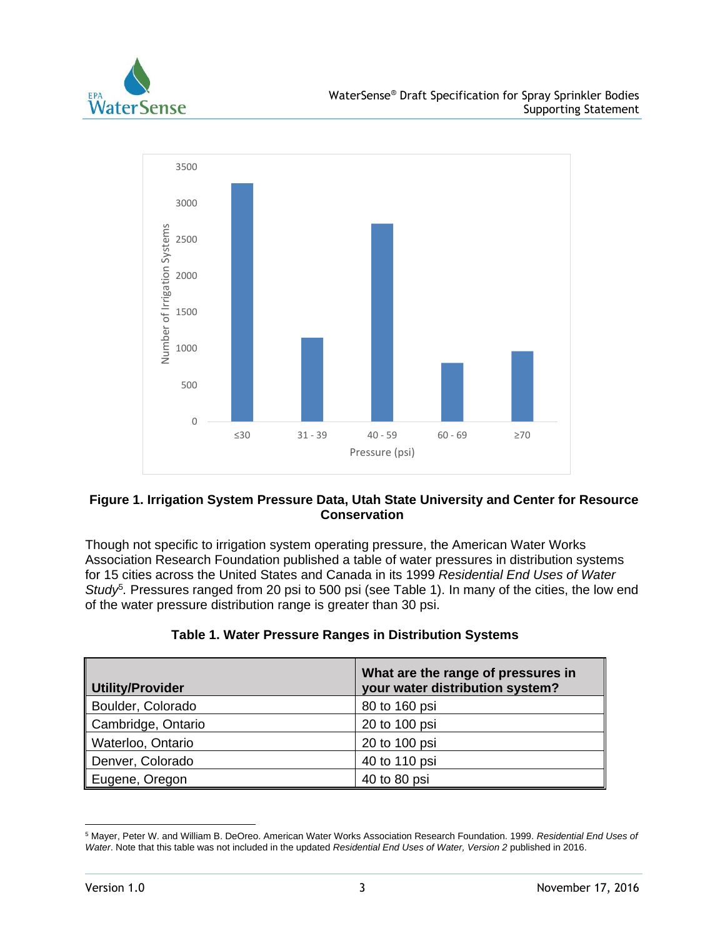



### **Figure 1. Irrigation System Pressure Data, Utah State University and Center for Resource Conservation**

Though not specific to irrigation system operating pressure, the American Water Works Association Research Foundation published a table of water pressures in distribution systems for 15 cities across the United States and Canada in its 1999 *Residential End Uses of Water*  Study<sup>5</sup>. Pressures ranged from 20 psi to 500 psi (see Table 1). In many of the cities, the low end of the water pressure distribution range is greater than 30 psi.

| <b>Utility/Provider</b> | What are the range of pressures in<br>your water distribution system? |
|-------------------------|-----------------------------------------------------------------------|
| Boulder, Colorado       | 80 to 160 psi                                                         |
| Cambridge, Ontario      | 20 to 100 psi                                                         |
| Waterloo, Ontario       | 20 to 100 psi                                                         |
| Denver, Colorado        | 40 to 110 psi                                                         |
| Eugene, Oregon          | 40 to 80 psi                                                          |

# **Table 1. Water Pressure Ranges in Distribution Systems**

 $\overline{a}$ <sup>5</sup> Mayer, Peter W. and William B. DeOreo. American Water Works Association Research Foundation. 1999. *Residential End Uses of Water*. Note that this table was not included in the updated *Residential End Uses of Water, Version 2* published in 2016.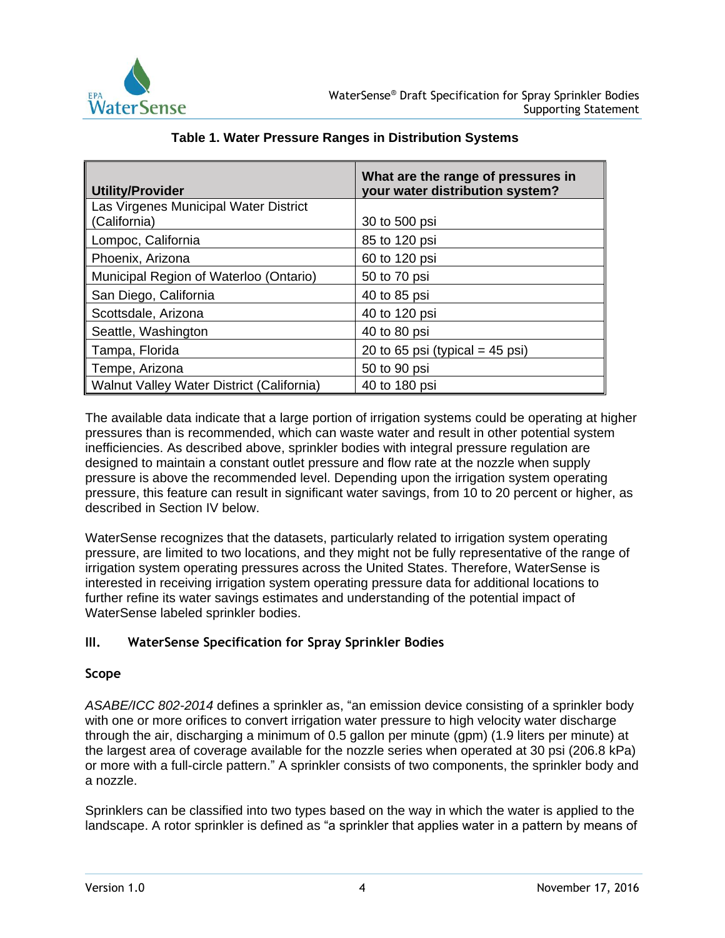

| <b>Utility/Provider</b>                               | What are the range of pressures in<br>your water distribution system? |
|-------------------------------------------------------|-----------------------------------------------------------------------|
| Las Virgenes Municipal Water District<br>(California) | 30 to 500 psi                                                         |
| Lompoc, California                                    | 85 to 120 psi                                                         |
| Phoenix, Arizona                                      | 60 to 120 psi                                                         |
| Municipal Region of Waterloo (Ontario)                | 50 to 70 psi                                                          |
| San Diego, California                                 | 40 to 85 psi                                                          |
| Scottsdale, Arizona                                   | 40 to 120 psi                                                         |
| Seattle, Washington                                   | 40 to 80 psi                                                          |
| Tampa, Florida                                        | 20 to 65 psi (typical = $45$ psi)                                     |
| Tempe, Arizona                                        | 50 to 90 psi                                                          |
| Walnut Valley Water District (California)             | 40 to 180 psi                                                         |

## **Table 1. Water Pressure Ranges in Distribution Systems**

The available data indicate that a large portion of irrigation systems could be operating at higher pressures than is recommended, which can waste water and result in other potential system inefficiencies. As described above, sprinkler bodies with integral pressure regulation are designed to maintain a constant outlet pressure and flow rate at the nozzle when supply pressure is above the recommended level. Depending upon the irrigation system operating pressure, this feature can result in significant water savings, from 10 to 20 percent or higher, as described in Section IV below.

WaterSense recognizes that the datasets, particularly related to irrigation system operating pressure, are limited to two locations, and they might not be fully representative of the range of irrigation system operating pressures across the United States. Therefore, WaterSense is interested in receiving irrigation system operating pressure data for additional locations to further refine its water savings estimates and understanding of the potential impact of WaterSense labeled sprinkler bodies.

### **III. WaterSense Specification for Spray Sprinkler Bodies**

### **Scope**

*ASABE/ICC 802-2014* defines a sprinkler as, "an emission device consisting of a sprinkler body with one or more orifices to convert irrigation water pressure to high velocity water discharge through the air, discharging a minimum of 0.5 gallon per minute (gpm) (1.9 liters per minute) at the largest area of coverage available for the nozzle series when operated at 30 psi (206.8 kPa) or more with a full-circle pattern." A sprinkler consists of two components, the sprinkler body and a nozzle.

Sprinklers can be classified into two types based on the way in which the water is applied to the landscape. A rotor sprinkler is defined as "a sprinkler that applies water in a pattern by means of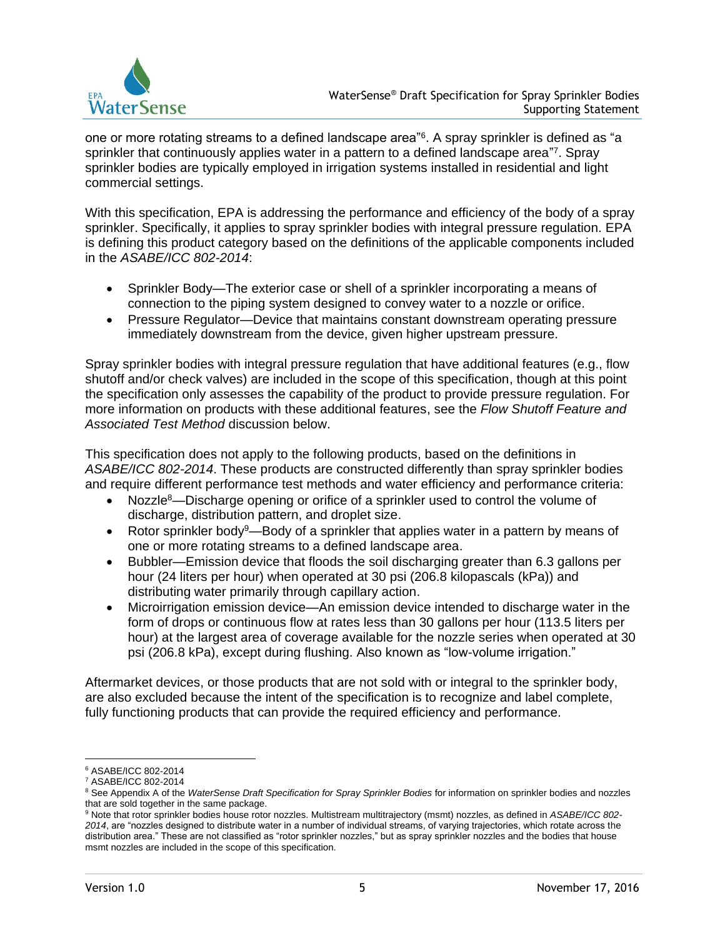

one or more rotating streams to a defined landscape area"<sup>6</sup> . A spray sprinkler is defined as "a sprinkler that continuously applies water in a pattern to a defined landscape area<sup>"7</sup>. Spray sprinkler bodies are typically employed in irrigation systems installed in residential and light commercial settings.

With this specification, EPA is addressing the performance and efficiency of the body of a spray sprinkler. Specifically, it applies to spray sprinkler bodies with integral pressure regulation. EPA is defining this product category based on the definitions of the applicable components included in the *ASABE/ICC 802-2014*:

- Sprinkler Body—The exterior case or shell of a sprinkler incorporating a means of connection to the piping system designed to convey water to a nozzle or orifice.
- Pressure Regulator—Device that maintains constant downstream operating pressure immediately downstream from the device, given higher upstream pressure.

Spray sprinkler bodies with integral pressure regulation that have additional features (e.g., flow shutoff and/or check valves) are included in the scope of this specification, though at this point the specification only assesses the capability of the product to provide pressure regulation. For more information on products with these additional features, see the *Flow Shutoff Feature and Associated Test Method* discussion below.

This specification does not apply to the following products, based on the definitions in *ASABE/ICC 802-2014*. These products are constructed differently than spray sprinkler bodies and require different performance test methods and water efficiency and performance criteria:

- Nozzle<sup>8</sup>—Discharge opening or orifice of a sprinkler used to control the volume of discharge, distribution pattern, and droplet size.
- Rotor sprinkler body<sup>9</sup>—Body of a sprinkler that applies water in a pattern by means of one or more rotating streams to a defined landscape area.
- Bubbler—Emission device that floods the soil discharging greater than 6.3 gallons per hour (24 liters per hour) when operated at 30 psi (206.8 kilopascals (kPa)) and distributing water primarily through capillary action.
- Microirrigation emission device—An emission device intended to discharge water in the form of drops or continuous flow at rates less than 30 gallons per hour (113.5 liters per hour) at the largest area of coverage available for the nozzle series when operated at 30 psi (206.8 kPa), except during flushing. Also known as "low-volume irrigation."

Aftermarket devices, or those products that are not sold with or integral to the sprinkler body, are also excluded because the intent of the specification is to recognize and label complete, fully functioning products that can provide the required efficiency and performance.

 $\overline{a}$ 

<sup>6</sup> ASABE/ICC 802-2014

<sup>7</sup> ASABE/ICC 802-2014

<sup>&</sup>lt;sup>8</sup> See Appendix A of the *WaterSense Draft Specification for Spray Sprinkler Bodies* for information on sprinkler bodies and nozzles that are sold together in the same package.

<sup>9</sup> Note that rotor sprinkler bodies house rotor nozzles. Multistream multitrajectory (msmt) nozzles, as defined in *ASABE/ICC 802- 2014*, are "nozzles designed to distribute water in a number of individual streams, of varying trajectories, which rotate across the distribution area." These are not classified as "rotor sprinkler nozzles," but as spray sprinkler nozzles and the bodies that house msmt nozzles are included in the scope of this specification.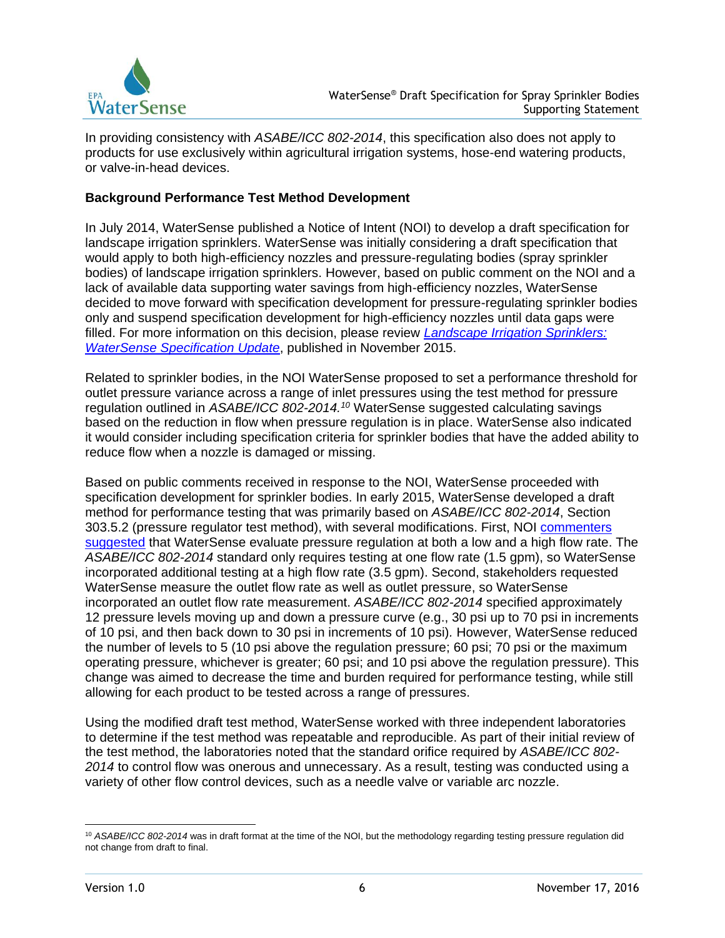

In providing consistency with *ASABE/ICC 802-2014*, this specification also does not apply to products for use exclusively within agricultural irrigation systems, hose-end watering products, or valve-in-head devices.

### **Background Performance Test Method Development**

In July 2014, WaterSense published a Notice of Intent (NOI) to develop a draft specification for landscape irrigation sprinklers. WaterSense was initially considering a draft specification that would apply to both high-efficiency nozzles and pressure-regulating bodies (spray sprinkler bodies) of landscape irrigation sprinklers. However, based on public comment on the NOI and a lack of available data supporting water savings from high-efficiency nozzles, WaterSense decided to move forward with specification development for pressure-regulating sprinkler bodies only and suspend specification development for high-efficiency nozzles until data gaps were filled. For more information on this decision, please review *[Landscape Irrigation Sprinklers:](https://www.epa.gov/watersense/docs/irrigation_sprinklers_specification%20update_508.pdf)  [WaterSense Specification Update](https://www.epa.gov/watersense/docs/irrigation_sprinklers_specification%20update_508.pdf)*, published in November 2015.

Related to sprinkler bodies, in the NOI WaterSense proposed to set a performance threshold for outlet pressure variance across a range of inlet pressures using the test method for pressure regulation outlined in *ASABE/ICC 802-2014. <sup>10</sup>* WaterSense suggested calculating savings based on the reduction in flow when pressure regulation is in place. WaterSense also indicated it would consider including specification criteria for sprinkler bodies that have the added ability to reduce flow when a nozzle is damaged or missing.

Based on public comments received in response to the NOI, WaterSense proceeded with specification development for sprinkler bodies. In early 2015, WaterSense developed a draft method for performance testing that was primarily based on *ASABE/ICC 802-2014*, Section 303.5.2 (pressure regulator test method), with several modifications. First, NOI [commenters](https://www.epa.gov/watersense/docs/irrigation_sprinklers_public%20comments_NOI_508.pdf)  [suggested](https://www.epa.gov/watersense/docs/irrigation_sprinklers_public%20comments_NOI_508.pdf) that WaterSense evaluate pressure regulation at both a low and a high flow rate. The *ASABE/ICC 802-2014* standard only requires testing at one flow rate (1.5 gpm), so WaterSense incorporated additional testing at a high flow rate (3.5 gpm). Second, stakeholders requested WaterSense measure the outlet flow rate as well as outlet pressure, so WaterSense incorporated an outlet flow rate measurement. *ASABE/ICC 802-2014* specified approximately 12 pressure levels moving up and down a pressure curve (e.g., 30 psi up to 70 psi in increments of 10 psi, and then back down to 30 psi in increments of 10 psi)*.* However, WaterSense reduced the number of levels to 5 (10 psi above the regulation pressure; 60 psi; 70 psi or the maximum operating pressure, whichever is greater; 60 psi; and 10 psi above the regulation pressure). This change was aimed to decrease the time and burden required for performance testing, while still allowing for each product to be tested across a range of pressures.

Using the modified draft test method, WaterSense worked with three independent laboratories to determine if the test method was repeatable and reproducible. As part of their initial review of the test method, the laboratories noted that the standard orifice required by *ASABE/ICC 802- 2014* to control flow was onerous and unnecessary. As a result, testing was conducted using a variety of other flow control devices, such as a needle valve or variable arc nozzle.

 $\overline{a}$ <sup>10</sup> ASABE/ICC 802-2014 was in draft format at the time of the NOI, but the methodology regarding testing pressure regulation did not change from draft to final.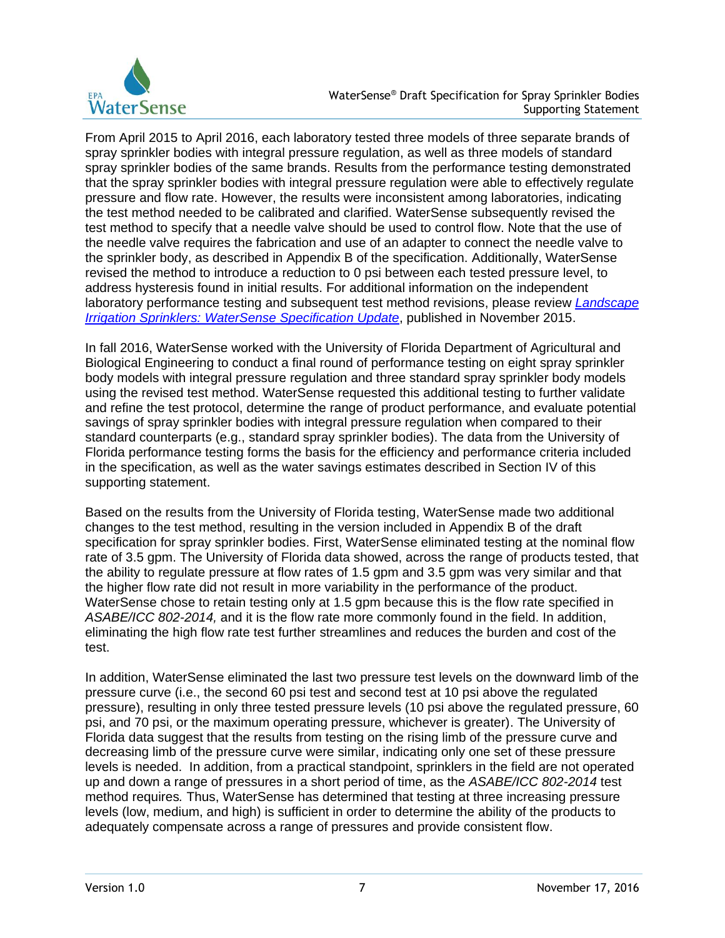

From April 2015 to April 2016, each laboratory tested three models of three separate brands of spray sprinkler bodies with integral pressure regulation, as well as three models of standard spray sprinkler bodies of the same brands. Results from the performance testing demonstrated that the spray sprinkler bodies with integral pressure regulation were able to effectively regulate pressure and flow rate. However, the results were inconsistent among laboratories, indicating the test method needed to be calibrated and clarified. WaterSense subsequently revised the test method to specify that a needle valve should be used to control flow. Note that the use of the needle valve requires the fabrication and use of an adapter to connect the needle valve to the sprinkler body, as described in Appendix B of the specification. Additionally, WaterSense revised the method to introduce a reduction to 0 psi between each tested pressure level, to address hysteresis found in initial results. For additional information on the independent laboratory performance testing and subsequent test method revisions, please review *[Landscape](https://www.epa.gov/watersense/docs/irrigation_sprinklers_specification%20update_508.pdf)  [Irrigation Sprinklers: WaterSense Specification Update](https://www.epa.gov/watersense/docs/irrigation_sprinklers_specification%20update_508.pdf)*, published in November 2015.

In fall 2016, WaterSense worked with the University of Florida Department of Agricultural and Biological Engineering to conduct a final round of performance testing on eight spray sprinkler body models with integral pressure regulation and three standard spray sprinkler body models using the revised test method. WaterSense requested this additional testing to further validate and refine the test protocol, determine the range of product performance, and evaluate potential savings of spray sprinkler bodies with integral pressure regulation when compared to their standard counterparts (e.g., standard spray sprinkler bodies). The data from the University of Florida performance testing forms the basis for the efficiency and performance criteria included in the specification, as well as the water savings estimates described in Section IV of this supporting statement.

Based on the results from the University of Florida testing, WaterSense made two additional changes to the test method, resulting in the version included in Appendix B of the draft specification for spray sprinkler bodies. First, WaterSense eliminated testing at the nominal flow rate of 3.5 gpm. The University of Florida data showed, across the range of products tested, that the ability to regulate pressure at flow rates of 1.5 gpm and 3.5 gpm was very similar and that the higher flow rate did not result in more variability in the performance of the product. WaterSense chose to retain testing only at 1.5 gpm because this is the flow rate specified in *ASABE/ICC 802-2014,* and it is the flow rate more commonly found in the field. In addition, eliminating the high flow rate test further streamlines and reduces the burden and cost of the test.

In addition, WaterSense eliminated the last two pressure test levels on the downward limb of the pressure curve (i.e., the second 60 psi test and second test at 10 psi above the regulated pressure), resulting in only three tested pressure levels (10 psi above the regulated pressure, 60 psi, and 70 psi, or the maximum operating pressure, whichever is greater). The University of Florida data suggest that the results from testing on the rising limb of the pressure curve and decreasing limb of the pressure curve were similar, indicating only one set of these pressure levels is needed. In addition, from a practical standpoint, sprinklers in the field are not operated up and down a range of pressures in a short period of time, as the *ASABE/ICC 802-2014* test method requires*.* Thus, WaterSense has determined that testing at three increasing pressure levels (low, medium, and high) is sufficient in order to determine the ability of the products to adequately compensate across a range of pressures and provide consistent flow.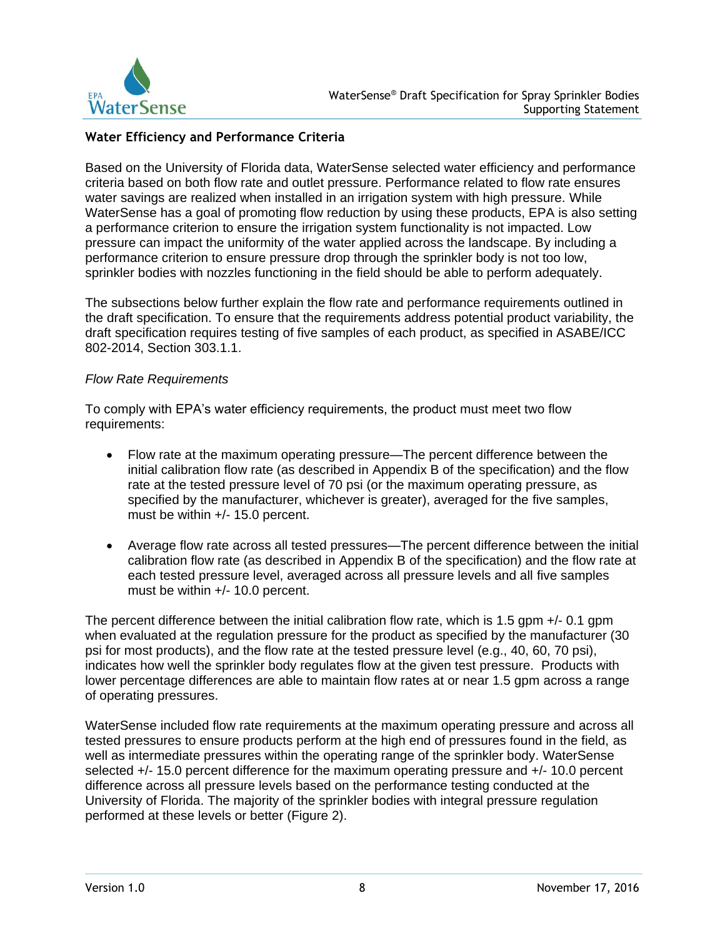

## **Water Efficiency and Performance Criteria**

Based on the University of Florida data, WaterSense selected water efficiency and performance criteria based on both flow rate and outlet pressure. Performance related to flow rate ensures water savings are realized when installed in an irrigation system with high pressure. While WaterSense has a goal of promoting flow reduction by using these products, EPA is also setting a performance criterion to ensure the irrigation system functionality is not impacted. Low pressure can impact the uniformity of the water applied across the landscape. By including a performance criterion to ensure pressure drop through the sprinkler body is not too low, sprinkler bodies with nozzles functioning in the field should be able to perform adequately.

The subsections below further explain the flow rate and performance requirements outlined in the draft specification. To ensure that the requirements address potential product variability, the draft specification requires testing of five samples of each product, as specified in ASABE/ICC 802-2014, Section 303.1.1.

#### *Flow Rate Requirements*

To comply with EPA's water efficiency requirements, the product must meet two flow requirements:

- Flow rate at the maximum operating pressure—The percent difference between the initial calibration flow rate (as described in Appendix B of the specification) and the flow rate at the tested pressure level of 70 psi (or the maximum operating pressure, as specified by the manufacturer, whichever is greater), averaged for the five samples, must be within +/- 15.0 percent.
- Average flow rate across all tested pressures—The percent difference between the initial calibration flow rate (as described in Appendix B of the specification) and the flow rate at each tested pressure level, averaged across all pressure levels and all five samples must be within +/- 10.0 percent.

The percent difference between the initial calibration flow rate, which is 1.5 gpm  $+/-0.1$  gpm when evaluated at the regulation pressure for the product as specified by the manufacturer (30 psi for most products), and the flow rate at the tested pressure level (e.g., 40, 60, 70 psi), indicates how well the sprinkler body regulates flow at the given test pressure. Products with lower percentage differences are able to maintain flow rates at or near 1.5 gpm across a range of operating pressures.

WaterSense included flow rate requirements at the maximum operating pressure and across all tested pressures to ensure products perform at the high end of pressures found in the field, as well as intermediate pressures within the operating range of the sprinkler body. WaterSense selected +/- 15.0 percent difference for the maximum operating pressure and +/- 10.0 percent difference across all pressure levels based on the performance testing conducted at the University of Florida. The majority of the sprinkler bodies with integral pressure regulation performed at these levels or better (Figure 2).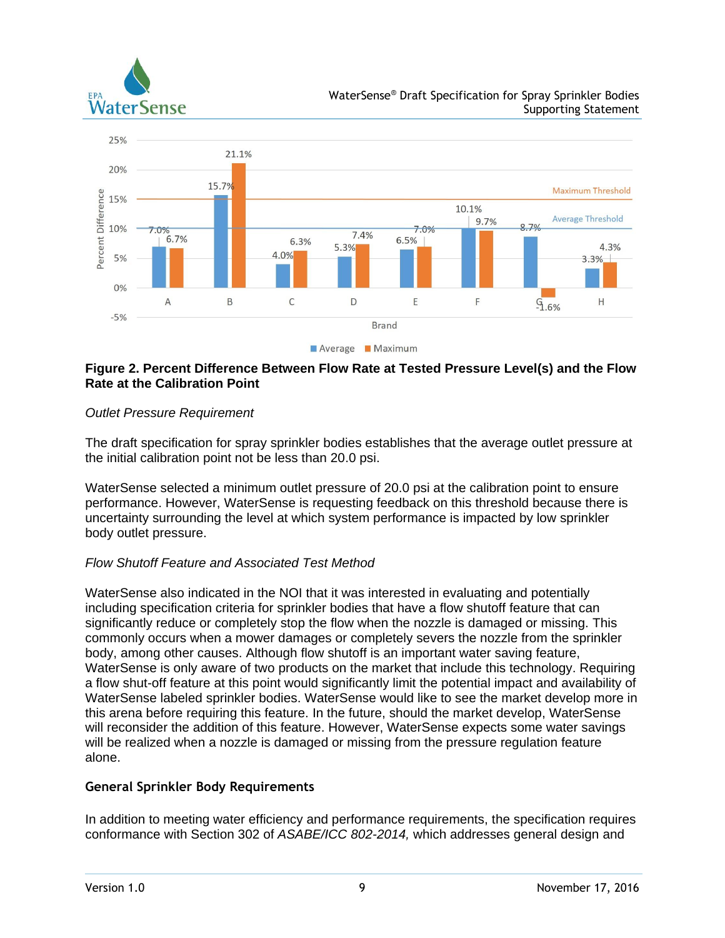



# **Figure 2. Percent Difference Between Flow Rate at Tested Pressure Level(s) and the Flow Rate at the Calibration Point**

# *Outlet Pressure Requirement*

The draft specification for spray sprinkler bodies establishes that the average outlet pressure at the initial calibration point not be less than 20.0 psi.

WaterSense selected a minimum outlet pressure of 20.0 psi at the calibration point to ensure performance. However, WaterSense is requesting feedback on this threshold because there is uncertainty surrounding the level at which system performance is impacted by low sprinkler body outlet pressure.

### *Flow Shutoff Feature and Associated Test Method*

WaterSense also indicated in the NOI that it was interested in evaluating and potentially including specification criteria for sprinkler bodies that have a flow shutoff feature that can significantly reduce or completely stop the flow when the nozzle is damaged or missing. This commonly occurs when a mower damages or completely severs the nozzle from the sprinkler body, among other causes. Although flow shutoff is an important water saving feature, WaterSense is only aware of two products on the market that include this technology. Requiring a flow shut-off feature at this point would significantly limit the potential impact and availability of WaterSense labeled sprinkler bodies. WaterSense would like to see the market develop more in this arena before requiring this feature. In the future, should the market develop, WaterSense will reconsider the addition of this feature. However, WaterSense expects some water savings will be realized when a nozzle is damaged or missing from the pressure regulation feature alone.

### **General Sprinkler Body Requirements**

In addition to meeting water efficiency and performance requirements, the specification requires conformance with Section 302 of *ASABE/ICC 802-2014,* which addresses general design and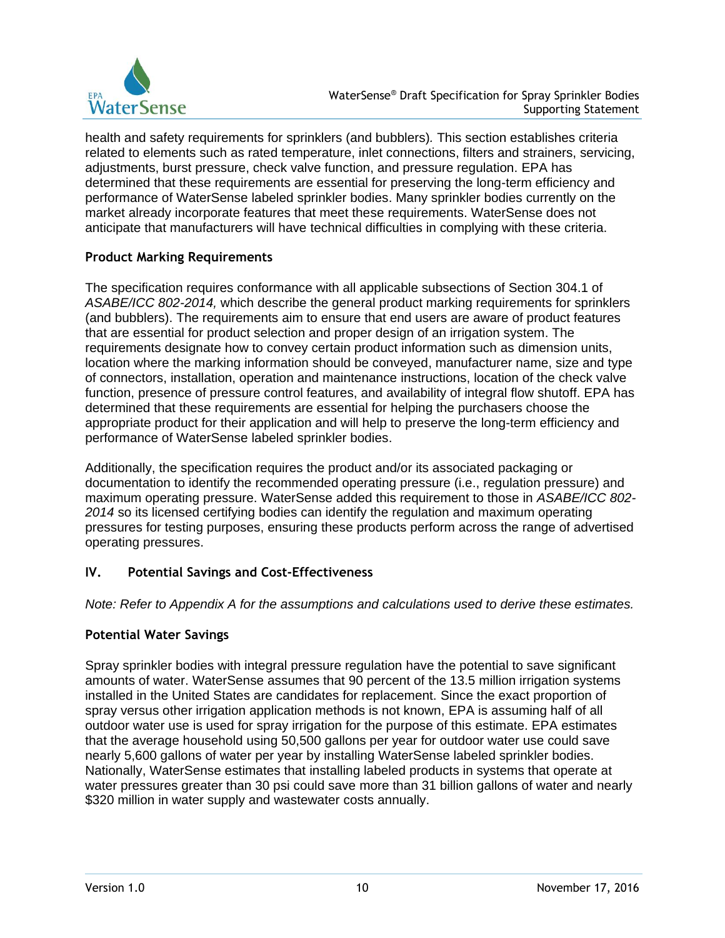

health and safety requirements for sprinklers (and bubblers)*.* This section establishes criteria related to elements such as rated temperature, inlet connections, filters and strainers, servicing, adjustments, burst pressure, check valve function, and pressure regulation. EPA has determined that these requirements are essential for preserving the long-term efficiency and performance of WaterSense labeled sprinkler bodies. Many sprinkler bodies currently on the market already incorporate features that meet these requirements. WaterSense does not anticipate that manufacturers will have technical difficulties in complying with these criteria.

# **Product Marking Requirements**

The specification requires conformance with all applicable subsections of Section 304.1 of *ASABE/ICC 802-2014,* which describe the general product marking requirements for sprinklers (and bubblers). The requirements aim to ensure that end users are aware of product features that are essential for product selection and proper design of an irrigation system. The requirements designate how to convey certain product information such as dimension units, location where the marking information should be conveyed, manufacturer name, size and type of connectors, installation, operation and maintenance instructions, location of the check valve function, presence of pressure control features, and availability of integral flow shutoff. EPA has determined that these requirements are essential for helping the purchasers choose the appropriate product for their application and will help to preserve the long-term efficiency and performance of WaterSense labeled sprinkler bodies.

Additionally, the specification requires the product and/or its associated packaging or documentation to identify the recommended operating pressure (i.e., regulation pressure) and maximum operating pressure. WaterSense added this requirement to those in *ASABE/ICC 802- 2014* so its licensed certifying bodies can identify the regulation and maximum operating pressures for testing purposes, ensuring these products perform across the range of advertised operating pressures.

### **IV. Potential Savings and Cost-Effectiveness**

*Note: Refer to Appendix A for the assumptions and calculations used to derive these estimates.*

### **Potential Water Savings**

Spray sprinkler bodies with integral pressure regulation have the potential to save significant amounts of water. WaterSense assumes that 90 percent of the 13.5 million irrigation systems installed in the United States are candidates for replacement. Since the exact proportion of spray versus other irrigation application methods is not known, EPA is assuming half of all outdoor water use is used for spray irrigation for the purpose of this estimate. EPA estimates that the average household using 50,500 gallons per year for outdoor water use could save nearly 5,600 gallons of water per year by installing WaterSense labeled sprinkler bodies. Nationally, WaterSense estimates that installing labeled products in systems that operate at water pressures greater than 30 psi could save more than 31 billion gallons of water and nearly \$320 million in water supply and wastewater costs annually.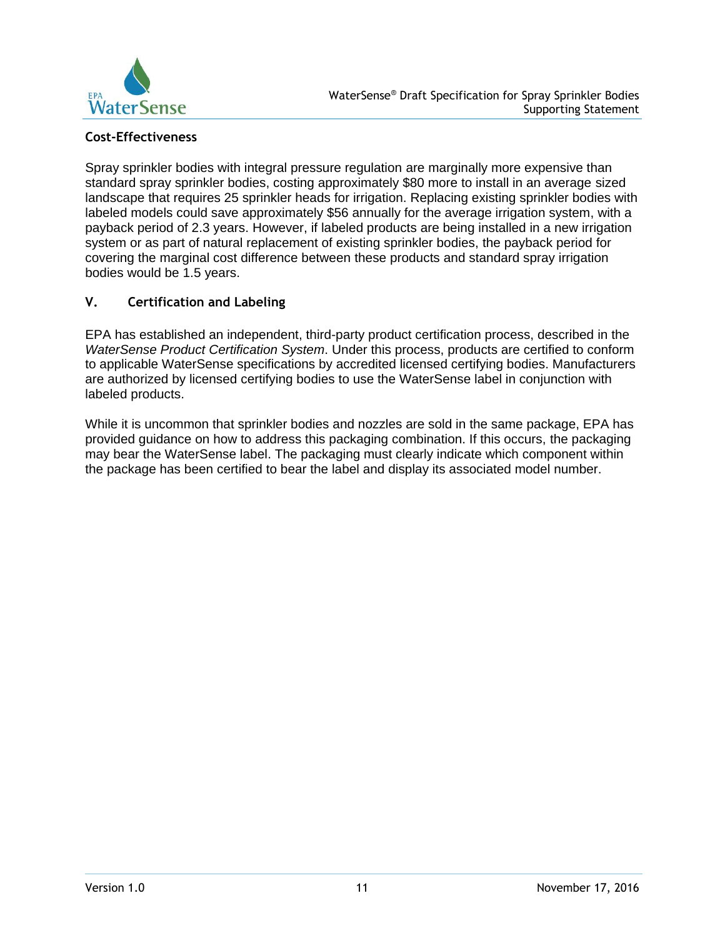

# **Cost-Effectiveness**

Spray sprinkler bodies with integral pressure regulation are marginally more expensive than standard spray sprinkler bodies, costing approximately \$80 more to install in an average sized landscape that requires 25 sprinkler heads for irrigation. Replacing existing sprinkler bodies with labeled models could save approximately \$56 annually for the average irrigation system, with a payback period of 2.3 years. However, if labeled products are being installed in a new irrigation system or as part of natural replacement of existing sprinkler bodies, the payback period for covering the marginal cost difference between these products and standard spray irrigation bodies would be 1.5 years.

### **V. Certification and Labeling**

EPA has established an independent, third-party product certification process, described in the *WaterSense Product Certification System*. Under this process, products are certified to conform to applicable WaterSense specifications by accredited licensed certifying bodies. Manufacturers are authorized by licensed certifying bodies to use the WaterSense label in conjunction with labeled products.

While it is uncommon that sprinkler bodies and nozzles are sold in the same package, EPA has provided guidance on how to address this packaging combination. If this occurs, the packaging may bear the WaterSense label. The packaging must clearly indicate which component within the package has been certified to bear the label and display its associated model number.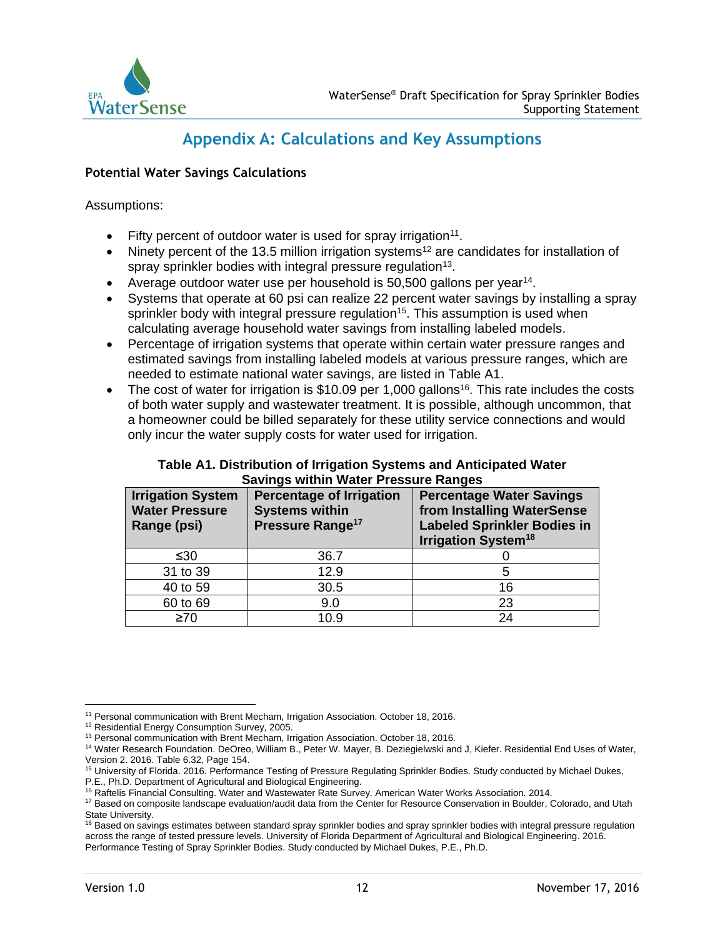

# **Appendix A: Calculations and Key Assumptions**

# **Potential Water Savings Calculations**

Assumptions:

- $\bullet$  Fifty percent of outdoor water is used for spray irrigation<sup>11</sup>.
- Ninety percent of the 13.5 million irrigation systems<sup>12</sup> are candidates for installation of spray sprinkler bodies with integral pressure regulation<sup>13</sup>.
- Average outdoor water use per household is 50,500 gallons per year<sup>14</sup>.
- Systems that operate at 60 psi can realize 22 percent water savings by installing a spray sprinkler body with integral pressure regulation<sup>15</sup>. This assumption is used when calculating average household water savings from installing labeled models.
- Percentage of irrigation systems that operate within certain water pressure ranges and estimated savings from installing labeled models at various pressure ranges, which are needed to estimate national water savings, are listed in Table A1.
- The cost of water for irrigation is  $$10.09$  per 1,000 gallons<sup>16</sup>. This rate includes the costs of both water supply and wastewater treatment. It is possible, although uncommon, that a homeowner could be billed separately for these utility service connections and would only incur the water supply costs for water used for irrigation.

| <b>Irrigation System</b><br><b>Water Pressure</b><br>Range (psi) | <b>Percentage of Irrigation</b><br><b>Systems within</b><br>Pressure Range <sup>17</sup> | <b>Percentage Water Savings</b><br>from Installing WaterSense<br><b>Labeled Sprinkler Bodies in</b><br><b>Irrigation System<sup>18</sup></b> |
|------------------------------------------------------------------|------------------------------------------------------------------------------------------|----------------------------------------------------------------------------------------------------------------------------------------------|
| ≤30                                                              | 36.7                                                                                     |                                                                                                                                              |
| 31 to 39                                                         | 12.9                                                                                     | 5                                                                                                                                            |
| 40 to 59                                                         | 30.5                                                                                     | 16                                                                                                                                           |
| 60 to 69                                                         | 9.0                                                                                      | 23                                                                                                                                           |
| $\geq 70$                                                        | 10.9                                                                                     | 24                                                                                                                                           |

#### **Table A1. Distribution of Irrigation Systems and Anticipated Water Savings within Water Pressure Ranges**

 $\overline{a}$ <sup>11</sup> Personal communication with Brent Mecham, Irrigation Association. October 18, 2016.

<sup>12</sup> Residential Energy Consumption Survey, 2005.

<sup>&</sup>lt;sup>13</sup> Personal communication with Brent Mecham, Irrigation Association. October 18, 2016.

<sup>14</sup> Water Research Foundation. DeOreo, William B., Peter W. Mayer, B. Deziegielwski and J, Kiefer. Residential End Uses of Water, Version 2. 2016. Table 6.32, Page 154.

<sup>&</sup>lt;sup>15</sup> University of Florida. 2016. Performance Testing of Pressure Regulating Sprinkler Bodies. Study conducted by Michael Dukes, P.E., Ph.D. Department of Agricultural and Biological Engineering.

<sup>&</sup>lt;sup>16</sup> Raftelis Financial Consulting. Water and Wastewater Rate Survey. American Water Works Association. 2014.

<sup>17</sup> Based on composite landscape evaluation/audit data from the Center for Resource Conservation in Boulder, Colorado, and Utah State University.

<sup>&</sup>lt;sup>18</sup> Based on savings estimates between standard spray sprinkler bodies and spray sprinkler bodies with integral pressure regulation across the range of tested pressure levels. University of Florida Department of Agricultural and Biological Engineering. 2016. Performance Testing of Spray Sprinkler Bodies. Study conducted by Michael Dukes, P.E., Ph.D.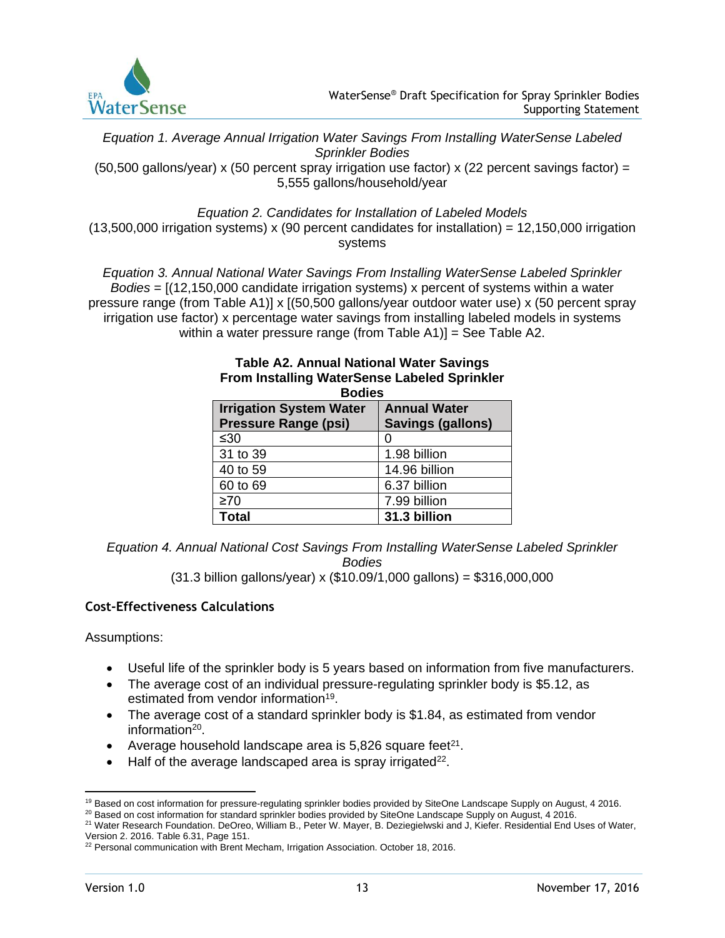

*Equation 1. Average Annual Irrigation Water Savings From Installing WaterSense Labeled Sprinkler Bodies* (50,500 gallons/year) x (50 percent spray irrigation use factor) x (22 percent savings factor) = 5,555 gallons/household/year

#### *Equation 2. Candidates for Installation of Labeled Models*  $(13,500,000$  irrigation systems) x (90 percent candidates for installation) = 12,150,000 irrigation systems

*Equation 3. Annual National Water Savings From Installing WaterSense Labeled Sprinkler Bodies* = [(12,150,000 candidate irrigation systems) x percent of systems within a water pressure range (from Table A1)] x [(50,500 gallons/year outdoor water use) x (50 percent spray irrigation use factor) x percentage water savings from installing labeled models in systems within a water pressure range (from Table A1)] = See Table A2.

#### **Table A2. Annual National Water Savings From Installing WaterSense Labeled Sprinkler Bodies**

| pouvo                          |                          |  |
|--------------------------------|--------------------------|--|
| <b>Irrigation System Water</b> | <b>Annual Water</b>      |  |
| <b>Pressure Range (psi)</b>    | <b>Savings (gallons)</b> |  |
| ≤30                            | Ω                        |  |
| 31 to 39                       | 1.98 billion             |  |
| 40 to 59                       | 14.96 billion            |  |
| 60 to 69                       | 6.37 billion             |  |
| $\geq 70$                      | 7.99 billion             |  |
| <b>Total</b>                   | 31.3 billion             |  |

*Equation 4. Annual National Cost Savings From Installing WaterSense Labeled Sprinkler Bodies*

(31.3 billion gallons/year) x (\$10.09/1,000 gallons) = \$316,000,000

# **Cost-Effectiveness Calculations**

Assumptions:

- Useful life of the sprinkler body is 5 years based on information from five manufacturers.
- The average cost of an individual pressure-regulating sprinkler body is \$5.12, as estimated from vendor information<sup>19</sup>.
- The average cost of a standard sprinkler body is \$1.84, as estimated from vendor information<sup>20</sup>.
- Average household landscape area is  $5,826$  square feet<sup>21</sup>.
- $\bullet$  Half of the average landscaped area is spray irrigated $^{22}$ .

 $\overline{a}$ <sup>19</sup> Based on cost information for pressure-regulating sprinkler bodies provided by SiteOne Landscape Supply on August, 4 2016.

<sup>&</sup>lt;sup>20</sup> Based on cost information for standard sprinkler bodies provided by SiteOne Landscape Supply on August, 4 2016.

<sup>21</sup> Water Research Foundation. DeOreo, William B., Peter W. Mayer, B. Deziegielwski and J, Kiefer. Residential End Uses of Water, Version 2. 2016. Table 6.31, Page 151.

<sup>&</sup>lt;sup>22</sup> Personal communication with Brent Mecham, Irrigation Association. October 18, 2016.